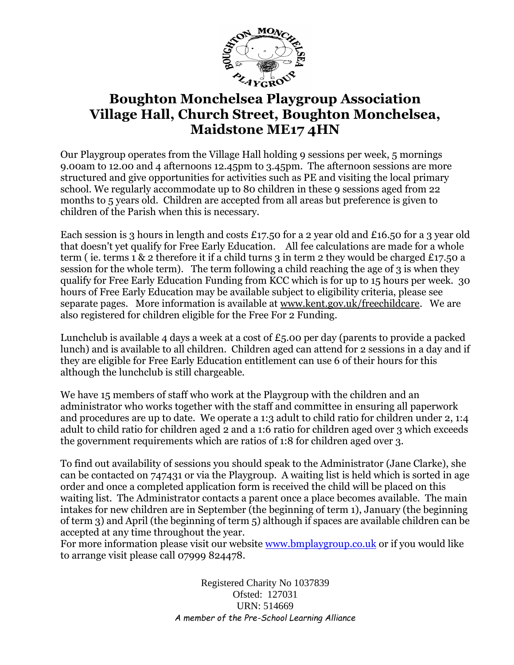

## **Boughton Monchelsea Playgroup Association Village Hall, Church Street, Boughton Monchelsea, Maidstone ME17 4HN**

Our Playgroup operates from the Village Hall holding 9 sessions per week, 5 mornings 9.00am to 12.00 and 4 afternoons 12.45pm to 3.45pm. The afternoon sessions are more structured and give opportunities for activities such as PE and visiting the local primary school. We regularly accommodate up to 80 children in these 9 sessions aged from 22 months to 5 years old. Children are accepted from all areas but preference is given to children of the Parish when this is necessary.

Each session is 3 hours in length and costs £17.50 for a 2 year old and £16.50 for a 3 year old that doesn't yet qualify for Free Early Education. All fee calculations are made for a whole term (ie. terms 1 & 2 therefore it if a child turns 3 in term 2 they would be charged £17.50 a session for the whole term). The term following a child reaching the age of 3 is when they qualify for Free Early Education Funding from KCC which is for up to 15 hours per week. 30 hours of Free Early Education may be available subject to eligibility criteria, please see separate pages. More information is available at [www.kent.gov.uk/freechildcare.](http://www.kent.gov.uk/freechildcare) We are also registered for children eligible for the Free For 2 Funding.

Lunchclub is available 4 days a week at a cost of  $£5.00$  per day (parents to provide a packed lunch) and is available to all children. Children aged can attend for 2 sessions in a day and if they are eligible for Free Early Education entitlement can use 6 of their hours for this although the lunchclub is still chargeable.

We have 15 members of staff who work at the Playgroup with the children and an administrator who works together with the staff and committee in ensuring all paperwork and procedures are up to date. We operate a 1:3 adult to child ratio for children under 2, 1:4 adult to child ratio for children aged 2 and a 1:6 ratio for children aged over 3 which exceeds the government requirements which are ratios of 1:8 for children aged over 3.

To find out availability of sessions you should speak to the Administrator (Jane Clarke), she can be contacted on 747431 or via the Playgroup. A waiting list is held which is sorted in age order and once a completed application form is received the child will be placed on this waiting list. The Administrator contacts a parent once a place becomes available. The main intakes for new children are in September (the beginning of term 1), January (the beginning of term 3) and April (the beginning of term 5) although if spaces are available children can be accepted at any time throughout the year.

For more information please visit our website [www.bmplaygroup.co.uk](http://www.bmplaygroup.co.uk/) or if you would like to arrange visit please call 07999 824478.

> Registered Charity No 1037839 Ofsted: 127031 URN: 514669 *A member of the Pre-School Learning Alliance*